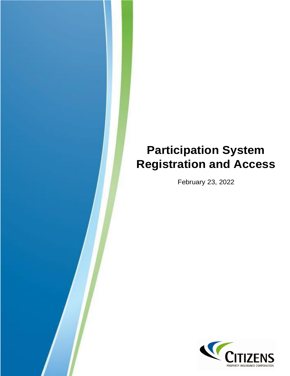# **Participation System Registration and Access**

February 23, 2022

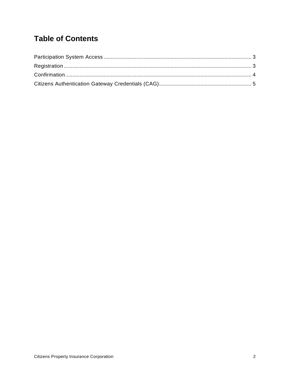## **Table of Contents**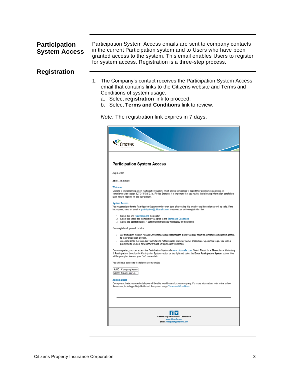#### <span id="page-2-0"></span>**[Participation](#page-4-1)  [System Access](#page-4-1)**

<span id="page-2-2"></span>Participation System Access emails are sent to company contacts in the current Participation system and to Users who have been granted access to the system. This email enables Users to register for system access. Registration is a three-step process.

#### <span id="page-2-1"></span>**[Registration](#page-4-1)**

- <span id="page-2-3"></span>1. The Company's contact receives the Participation System Access email that contains links to the Citizens website and Terms and Conditions of system usage.
	- a. Select **registration** link to proceed.
	- b. Select **Terms and Conditions** link to review.

*Note:* The registration link expires in 7 days.

|             | <b>CITIZENS</b>                                                                                                                                                                                                                                                                                                                                   |
|-------------|---------------------------------------------------------------------------------------------------------------------------------------------------------------------------------------------------------------------------------------------------------------------------------------------------------------------------------------------------|
|             |                                                                                                                                                                                                                                                                                                                                                   |
|             | <b>Participation System Access</b>                                                                                                                                                                                                                                                                                                                |
| Aug 8, 2021 |                                                                                                                                                                                                                                                                                                                                                   |
|             | Attn: Tim Smoky                                                                                                                                                                                                                                                                                                                                   |
| Welcome     | Citizens is implementing a new Participation System, which allows companies to report their premium data online, in<br>compliance with section 627.351(6)(b)3. b., Florida Statutes. It is important that you review the following information carefully to<br>learn how to register for the new system.                                          |
|             | <b>System Access</b><br>You must register for the Participation System within seven days of receiving this email or the link no longer will be valid. If the<br>link expires, send an email to participation@citizensfla.com to request an active registration link.                                                                              |
|             | 1. Select this link registration link to register.<br>2. Select the check box to indicate you agree to the Terms and Conditions.<br>3. Select the Submit button. A confirmation message will display on the screen.                                                                                                                               |
|             | Once registered, you will receive:                                                                                                                                                                                                                                                                                                                |
|             | A Participation System Access Confirmation email that includes a link you must select to confirm you requested access<br>to the Participation System.<br>A second email that includes your Citizens Authentication Gateway (CAG) credentials. Upon initial login, you will be<br>prompted to create a new password and set up security questions. |
|             | Once completed, you can access the Participation System via www.citizensfla.com. Select About Us > Financials > Voluntary<br>& Participation. Look for the Participation System section on the right and select the Enter Participation System button. You<br>will be prompted to enter your CAG credentials.                                     |
|             | You will have access to the following company(s):                                                                                                                                                                                                                                                                                                 |
|             | NAIC   Company Name<br>69999 Smoky Ins Co                                                                                                                                                                                                                                                                                                         |
|             | <b>Adding a user</b><br>Once you activate your credentials you will be able to add users for your company. For more information, refer to the online<br>Resources, including a Help Guide and the system usage Terms and Conditions.                                                                                                              |
|             |                                                                                                                                                                                                                                                                                                                                                   |
|             |                                                                                                                                                                                                                                                                                                                                                   |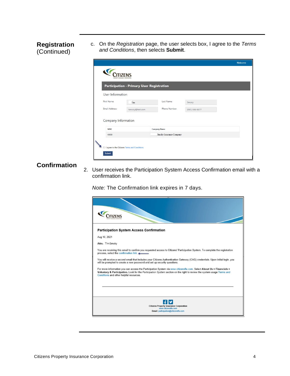#### **Registration** (Continued)

c. On the *Registration* page, the user selects box, I agree to the *Terms and Conditions*, then selects **Submit**.

|                                    | <b>Participation - Primary User Registration</b> |                         |                    |  |
|------------------------------------|--------------------------------------------------|-------------------------|--------------------|--|
| User Information                   |                                                  |                         |                    |  |
| First Name:                        | Tim                                              | Last Name:              | Smoky              |  |
| Email Address:                     | tsmoky@test.com                                  | Phone Number:           | $(565) 666 - 6677$ |  |
| Company Information<br><b>NAIC</b> |                                                  | <b>Company Name</b>     |                    |  |
| 69999                              |                                                  | Smoky Insurance Company |                    |  |

### <span id="page-3-0"></span>**Confirmation**

<span id="page-3-1"></span>2. User receives the Participation System Access Confirmation email with a confirmation link.

*Note:* The Confirmation link expires in 7 days.

| <b>Participation System Access Confirmation</b>                                                                                                                                                                                                                                           |
|-------------------------------------------------------------------------------------------------------------------------------------------------------------------------------------------------------------------------------------------------------------------------------------------|
| Aug 10, 2021                                                                                                                                                                                                                                                                              |
| Attn: Tim Smoky                                                                                                                                                                                                                                                                           |
| You are receiving this email to confirm you requested access to Citizens' Participation System. To complete the registration<br>process, select the confirmation link.                                                                                                                    |
| You will receive a second email that includes your Citizens Authentication Gateway (CAG) credentials. Upon initial login, you<br>will be prompted to create a new password and set up security questions.                                                                                 |
| For more information you can access the Participation System via www.citizensfla.com. Select About Us > Financials ><br>Voluntary & Participation. Look for the Participation System section on the right to review the system usage Terms and<br>Conditions and other helpful resources. |
|                                                                                                                                                                                                                                                                                           |
|                                                                                                                                                                                                                                                                                           |
| <b>Citizens Property Insurance Corporation</b><br>www.citizensfla.com<br>Email: participation@citizensfla.com                                                                                                                                                                             |
|                                                                                                                                                                                                                                                                                           |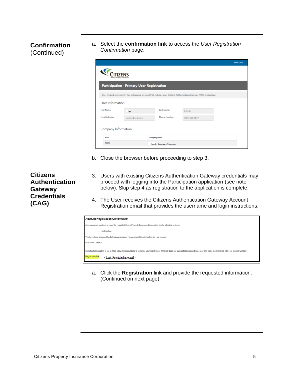#### **Confirmation** (Continued)

a. Select the **confirmation link** to access the *User Registration Confirmation* page.

|                       | <b>Participation - Primary User Registration</b> |               |                                                                                                                            |  |
|-----------------------|--------------------------------------------------|---------------|----------------------------------------------------------------------------------------------------------------------------|--|
|                       |                                                  |               | User created successfully. You will receive an email that includes your Citizens Authentication Gateway (CAG) credentials. |  |
| User Information      |                                                  |               |                                                                                                                            |  |
| First Name:           | Tim                                              | Last Name:    | Smoky                                                                                                                      |  |
| <b>Email Address:</b> | tsmoky@test.com                                  | Phone Number: | $(565) 666 - 6677$                                                                                                         |  |

- b. Close the browser before proceeding to step 3.
- 3. Users with existing Citizens Authentication Gateway credentials may proceed with logging into the Participation application (see note below). Skip step 4 as registration to the application is complete.
- 4. The User receives the Citizens Authentication Gateway Account Registration email that provides the username and login instructions.

| <b>Account Registration Confirmation</b>                                                                                                                                                                  |
|-----------------------------------------------------------------------------------------------------------------------------------------------------------------------------------------------------------|
| A new account has been created for you with Citizens Property Insurance Corporation for the following systems:                                                                                            |
| Participation<br>٠                                                                                                                                                                                        |
| You have been assigned the following username. Please retain this information for your records.                                                                                                           |
| Username: tsmoky                                                                                                                                                                                          |
| Click the following link to log in, then follow the instructions to complete your registration. If the link does not automatically redirect you, copy and paste the entire link into your browser window. |
| <b>Registration link:</b><br><link email="" in="" provided=""/>                                                                                                                                           |

a. Click the **Registration** link and provide the requested information. (Continued on next page)

<span id="page-4-1"></span><span id="page-4-0"></span>**Citizens Authentication Gateway Credentials (CAG)**